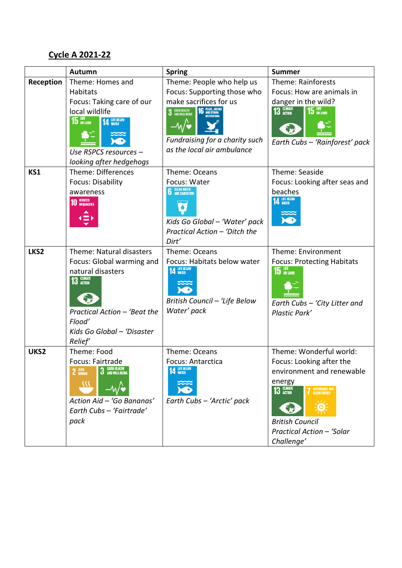## **Cycle A 2021-22**

|                         | Autumn                                                                                                                                                                                                                                                | <b>Spring</b>                                                                                                                                                                                                                                                                    | <b>Summer</b>                                                                                                                                                                                                                |
|-------------------------|-------------------------------------------------------------------------------------------------------------------------------------------------------------------------------------------------------------------------------------------------------|----------------------------------------------------------------------------------------------------------------------------------------------------------------------------------------------------------------------------------------------------------------------------------|------------------------------------------------------------------------------------------------------------------------------------------------------------------------------------------------------------------------------|
| <b>Reception</b><br>KS1 | Theme: Homes and<br>Habitats<br>Focus: Taking care of our<br>local wildlife<br><b>15</b> UFE<br><b>14 LIFE BELOW</b><br>Use RSPCS resources -<br>looking after hedgehogs<br>Theme: Differences<br><b>Focus: Disability</b><br>awareness<br>10 REDUCED | Theme: People who help us<br>Focus: Supporting those who<br>make sacrifices for us<br><b>16</b> PEACE, JUSTIC<br><b>3</b> GOOD HEALTH<br>AND WELL-BEING<br>Fundraising for a charity such<br>as the local air ambulance<br>Theme: Oceans<br>Focus: Water<br><b>6</b> CLEAN WATER | Theme: Rainforests<br>Focus: How are animals in<br>danger in the wild?<br>13 GLIMATE<br>$15$ ON LAND<br>Earth Cubs - 'Rainforest' pack<br>Theme: Seaside<br>Focus: Looking after seas and<br>beaches<br><b>14 LIFE BELOW</b> |
|                         |                                                                                                                                                                                                                                                       | Kids Go Global - 'Water' pack<br>Practical Action - 'Ditch the<br>Dirt'                                                                                                                                                                                                          |                                                                                                                                                                                                                              |
| LKS2                    | Theme: Natural disasters<br>Focus: Global warming and<br>natural disasters<br>13 GLIMATE<br>Practical Action - 'Beat the<br>Flood'<br>Kids Go Global - 'Disaster<br>Relief'                                                                           | Theme: Oceans<br>Focus: Habitats below water<br><b>14 LIFE BELOW</b><br>British Council - 'Life Below<br>Water' pack                                                                                                                                                             | Theme: Environment<br><b>Focus: Protecting Habitats</b><br>15 UFE<br>Earth Cubs - 'City Litter and<br>Plastic Park'                                                                                                          |
| UKS2                    | Theme: Food<br>Focus: Fairtrade<br>$2 \frac{\text{ZERO}}{\text{HUNGER}}$<br>3 GOOD HEALTH<br>38<br>Action Aid - 'Go Bananas'<br>Earth Cubs - 'Fairtrade'<br>pack                                                                                      | Theme: Oceans<br><b>Focus: Antarctica</b><br><b>14 LIFE BELOW</b><br>Earth Cubs - 'Arctic' pack                                                                                                                                                                                  | Theme: Wonderful world:<br>Focus: Looking after the<br>environment and renewable<br>energy<br>13 GLIMATE<br>AFFORDABLE AND<br>CLEAN ENERGY<br><b>British Council</b><br>Practical Action - 'Solar<br>Challenge'              |